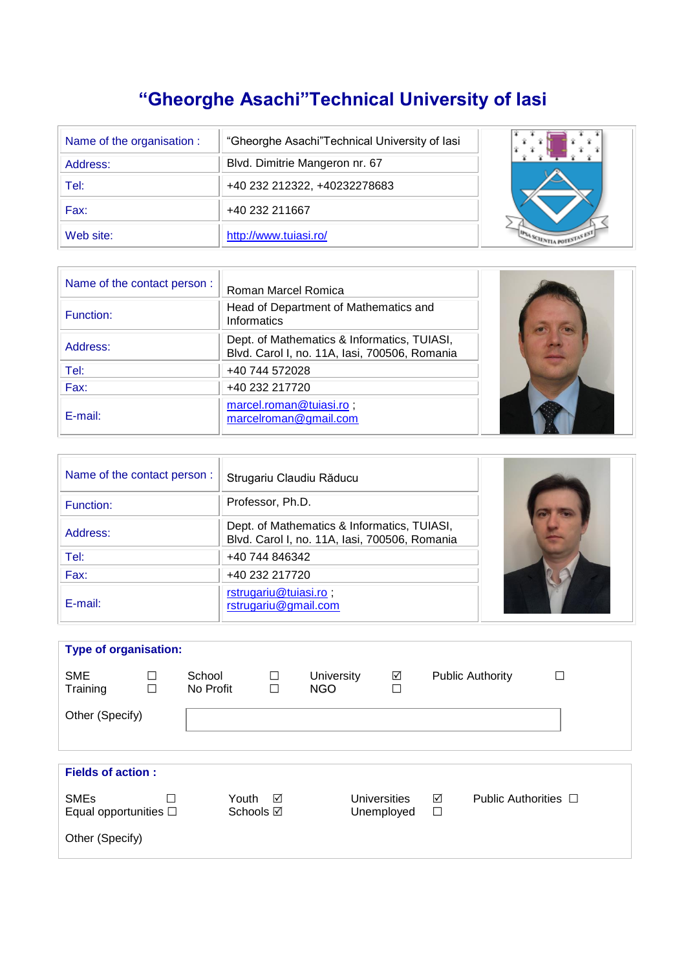# **"Gheorghe Asachi"Technical University of Iasi**

| Name of the organisation : | "Gheorghe Asachi"Technical University of lasi |  |
|----------------------------|-----------------------------------------------|--|
| Address:                   | Blvd. Dimitrie Mangeron nr. 67                |  |
| Tel:                       | +40 232 212322, +40232278683                  |  |
| Fax:                       | +40 232 211667                                |  |
| Web site:                  | http://www.tuiasi.ro/                         |  |

| Name of the contact person: | Roman Marcel Romica                                                                          |  |
|-----------------------------|----------------------------------------------------------------------------------------------|--|
| Function:                   | Head of Department of Mathematics and<br><b>Informatics</b>                                  |  |
| Address:                    | Dept. of Mathematics & Informatics, TUIASI,<br>Blvd. Carol I, no. 11A, lasi, 700506, Romania |  |
| Tel:                        | +40 744 572028                                                                               |  |
| Fax:                        | +40 232 217720                                                                               |  |
| E-mail:                     | marcel.roman@tuiasi.ro;<br>marcelroman@gmail.com                                             |  |

| Name of the contact person: | Strugariu Claudiu Răducu                                                                     |  |
|-----------------------------|----------------------------------------------------------------------------------------------|--|
| Function:                   | Professor, Ph.D.                                                                             |  |
| Address:                    | Dept. of Mathematics & Informatics, TUIASI,<br>Blvd. Carol I, no. 11A, Iasi, 700506, Romania |  |
| Tel:                        | +40 744 846342                                                                               |  |
| Fax:                        | +40 232 217720                                                                               |  |
| E-mail:                     | rstrugariu@tuiasi.ro;<br>rstrugariu@gmail.com                                                |  |

| <b>Type of organisation:</b>                                 |                  |                      |        |                          |                                   |             |                           |  |
|--------------------------------------------------------------|------------------|----------------------|--------|--------------------------|-----------------------------------|-------------|---------------------------|--|
| <b>SME</b><br>Training                                       | $\Box$<br>$\Box$ | School<br>No Profit  | □<br>П | University<br><b>NGO</b> | ✓<br>$\Box$                       |             | <b>Public Authority</b>   |  |
| Other (Specify)                                              |                  |                      |        |                          |                                   |             |                           |  |
|                                                              |                  |                      |        |                          |                                   |             |                           |  |
| <b>Fields of action:</b>                                     |                  |                      |        |                          |                                   |             |                           |  |
| <b>SMEs</b><br>Equal opportunities $\Box$<br>Other (Specify) | П                | Youth ⊠<br>Schools ⊠ |        |                          | <b>Universities</b><br>Unemployed | ☑<br>$\Box$ | Public Authorities $\Box$ |  |
|                                                              |                  |                      |        |                          |                                   |             |                           |  |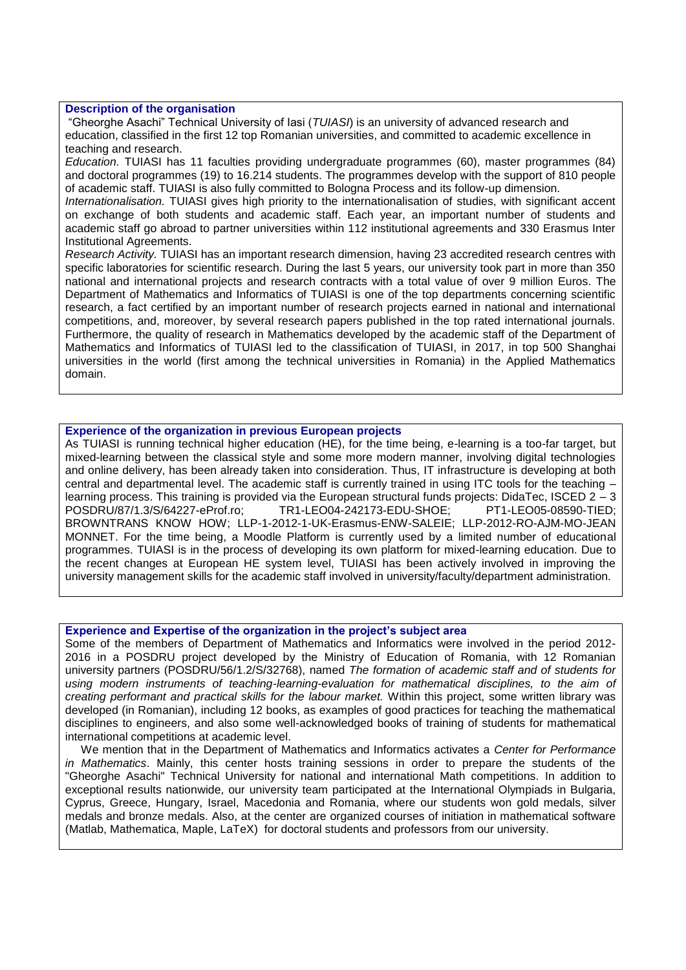# **Description of the organisation**

"Gheorghe Asachi" Technical University of Iasi (*TUIASI*) is an university of advanced research and education, classified in the first 12 top Romanian universities, and committed to academic excellence in teaching and research.

*Education.* TUIASI has 11 faculties providing undergraduate programmes (60), master programmes (84) and doctoral programmes (19) to 16.214 students. The programmes develop with the support of 810 people of academic staff. TUIASI is also fully committed to Bologna Process and its follow-up dimension.

*Internationalisation.* TUIASI gives high priority to the internationalisation of studies, with significant accent on exchange of both students and academic staff. Each year, an important number of students and academic staff go abroad to partner universities within 112 institutional agreements and 330 Erasmus Inter Institutional Agreements.

*Research Activity.* TUIASI has an important research dimension, having 23 accredited research centres with specific laboratories for scientific research. During the last 5 years, our university took part in more than 350 national and international projects and research contracts with a total value of over 9 million Euros. The Department of Mathematics and Informatics of TUIASI is one of the top departments concerning scientific research, a fact certified by an important number of research projects earned in national and international competitions, and, moreover, by several research papers published in the top rated international journals. Furthermore, the quality of research in Mathematics developed by the academic staff of the Department of Mathematics and Informatics of TUIASI led to the classification of TUIASI, in 2017, in top 500 Shanghai universities in the world (first among the technical universities in Romania) in the Applied Mathematics domain.

#### **Experience of the organization in previous European projects**

As TUIASI is running technical higher education (HE), for the time being, e-learning is a too-far target, but mixed-learning between the classical style and some more modern manner, involving digital technologies and online delivery, has been already taken into consideration. Thus, IT infrastructure is developing at both central and departmental level. The academic staff is currently trained in using ITC tools for the teaching – learning process. This training is provided via the European structural funds projects: DidaTec, ISCED 2 - 3 POSDRU/87/1.3/S/64227-eProf.ro; TR1-LEO04-242173-EDU-SHOE; PT1-LEO05-08590-TIED; BROWNTRANS KNOW HOW; LLP-1-2012-1-UK-Erasmus-ENW-SALEIE; LLP-2012-RO-AJM-MO-JEAN MONNET. For the time being, a Moodle Platform is currently used by a limited number of educational programmes. TUIASI is in the process of developing its own platform for mixed-learning education. Due to the recent changes at European HE system level, TUIASI has been actively involved in improving the university management skills for the academic staff involved in university/faculty/department administration.

#### **Experience and Expertise of the organization in the project's subject area**

Some of the members of Department of Mathematics and Informatics were involved in the period 2012- 2016 in a POSDRU project developed by the Ministry of Education of Romania, with 12 Romanian university partners (POSDRU/56/1.2/S/32768), named *The formation of academic staff and of students for using modern instruments of teaching-learning-evaluation for mathematical disciplines, to the aim of creating performant and practical skills for the labour market.* Within this project, some written library was developed (in Romanian), including 12 books, as examples of good practices for teaching the mathematical disciplines to engineers, and also some well-acknowledged books of training of students for mathematical international competitions at academic level.

 We mention that in the Department of Mathematics and Informatics activates a *Center for Performance in Mathematics*. Mainly, this center hosts training sessions in order to prepare the students of the "Gheorghe Asachi" Technical University for national and international Math competitions. In addition to exceptional results nationwide, our university team participated at the International Olympiads in Bulgaria, Cyprus, Greece, Hungary, Israel, Macedonia and Romania, where our students won gold medals, silver medals and bronze medals. Also, at the center are organized courses of initiation in mathematical software (Matlab, Mathematica, Maple, LaTeX) for doctoral students and professors from our university.